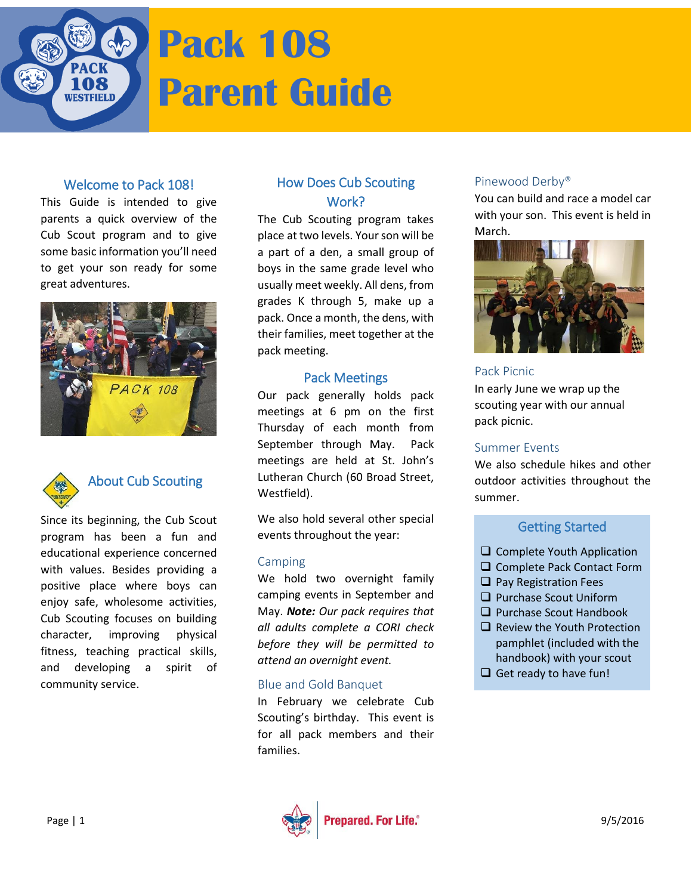

# **Pack 108 Parent Guide**

#### Welcome to Pack 108!

This Guide is intended to give parents a quick overview of the Cub Scout program and to give some basic information you'll need to get your son ready for some great adventures.





# About Cub Scouting

Since its beginning, the Cub Scout program has been a fun and educational experience concerned with values. Besides providing a positive place where boys can enjoy safe, wholesome activities, Cub Scouting focuses on building character, improving physical fitness, teaching practical skills, and developing a spirit of community service.

# How Does Cub Scouting Work?

The Cub Scouting program takes place at two levels. Your son will be a part of a den, a small group of boys in the same grade level who usually meet weekly. All dens, from grades K through 5, make up a pack. Once a month, the dens, with their families, meet together at the pack meeting.

#### Pack Meetings

Our pack generally holds pack meetings at 6 pm on the first Thursday of each month from September through May. Pack meetings are held at St. John's Lutheran Church (60 Broad Street, Westfield).

We also hold several other special events throughout the year:

#### Camping

We hold two overnight family camping events in September and May. *Note: Our pack requires that all adults complete a CORI check before they will be permitted to attend an overnight event.*

#### Blue and Gold Banquet

In February we celebrate Cub Scouting's birthday. This event is for all pack members and their families.

#### Pinewood Derby®

You can build and race a model car with your son. This event is held in March.



#### Pack Picnic

In early June we wrap up the scouting year with our annual pack picnic.

#### Summer Events

We also schedule hikes and other outdoor activities throughout the summer.

# Getting Started

- $\Box$  Complete Youth Application
- □ Complete Pack Contact Form
- $\Box$  Pay Registration Fees
- **Q** Purchase Scout Uniform
- $\Box$  Purchase Scout Handbook
- $\Box$  Review the Youth Protection pamphlet (included with the handbook) with your scout
- $\Box$  Get ready to have fun!

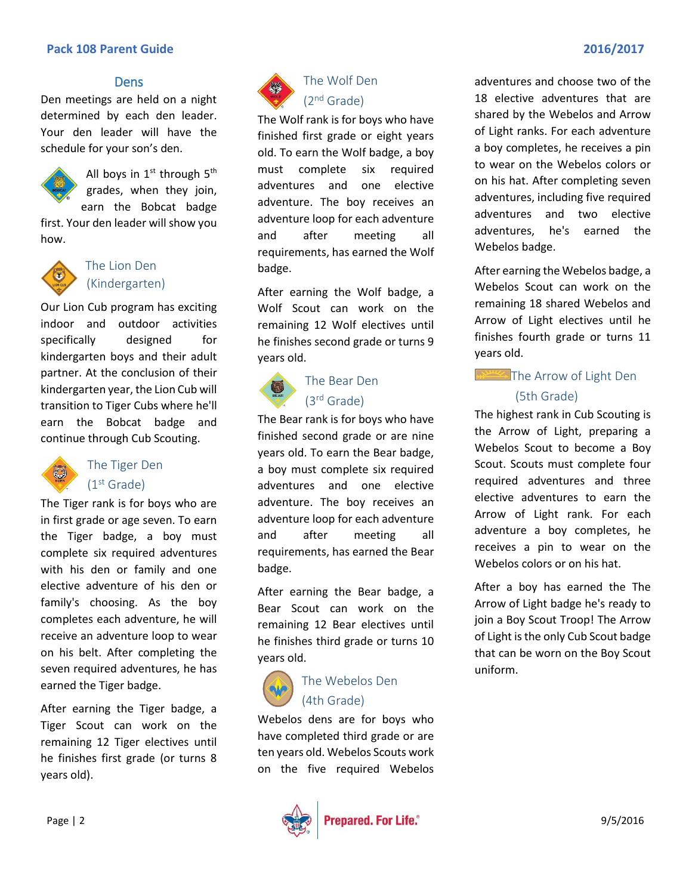#### **Pack 108 Parent Guide 2016/2017**

#### **Dens**

Den meetings are held on a night determined by each den leader. Your den leader will have the schedule for your son's den.



All boys in  $1<sup>st</sup>$  through  $5<sup>th</sup>$ grades, when they join, earn the Bobcat badge

first. Your den leader will show you how.



# The Lion Den (Kindergarten)

Our Lion Cub program has exciting indoor and outdoor activities specifically designed for kindergarten boys and their adult partner. At the conclusion of their kindergarten year, the Lion Cub will transition to Tiger Cubs where he'll earn the Bobcat badge and continue through Cub Scouting.



# The Tiger Den (1st Grade)

The Tiger rank is for boys who are in first grade or age seven. To earn the Tiger badge, a boy must complete six required adventures with his den or family and one elective adventure of his den or family's choosing. As the boy completes each adventure, he will receive an adventure loop to wear on his belt. After completing the seven required adventures, he has earned the Tiger badge.

After earning the Tiger badge, a Tiger Scout can work on the remaining 12 Tiger electives until he finishes first grade (or turns 8 years old).



# The Wolf Den (2nd Grade)

The Wolf rank is for boys who have finished first grade or eight years old. To earn the Wolf badge, a boy must complete six required adventures and one elective adventure. The boy receives an adventure loop for each adventure and after meeting all requirements, has earned the Wolf badge.

After earning the Wolf badge, a Wolf Scout can work on the remaining 12 Wolf electives until he finishes second grade or turns 9 years old.



# The Bear Den (3rd Grade)

The Bear rank is for boys who have finished second grade or are nine years old. To earn the Bear badge, a boy must complete six required adventures and one elective adventure. The boy receives an adventure loop for each adventure and after meeting all requirements, has earned the Bear badge.

After earning the Bear badge, a Bear Scout can work on the remaining 12 Bear electives until he finishes third grade or turns 10 years old.



# The Webelos Den (4th Grade)

Webelos dens are for boys who have completed third grade or are ten years old. Webelos Scouts work on the five required Webelos



adventures and choose two of the 18 elective adventures that are shared by the Webelos and Arrow of Light ranks. For each adventure a boy completes, he receives a pin to wear on the Webelos colors or on his hat. After completing seven adventures, including five required adventures and two elective adventures, he's earned the Webelos badge.

After earning the Webelos badge, a Webelos Scout can work on the remaining 18 shared Webelos and Arrow of Light electives until he finishes fourth grade or turns 11 years old.

# The Arrow of Light Den (5th Grade)

The highest rank in Cub Scouting is the Arrow of Light, preparing a Webelos Scout to become a Boy Scout. Scouts must complete four required adventures and three elective adventures to earn the Arrow of Light rank. For each adventure a boy completes, he receives a pin to wear on the Webelos colors or on his hat.

After a boy has earned the The Arrow of Light badge he's ready to join a Boy Scout Troop! The Arrow of Light is the only Cub Scout badge that can be worn on the Boy Scout uniform.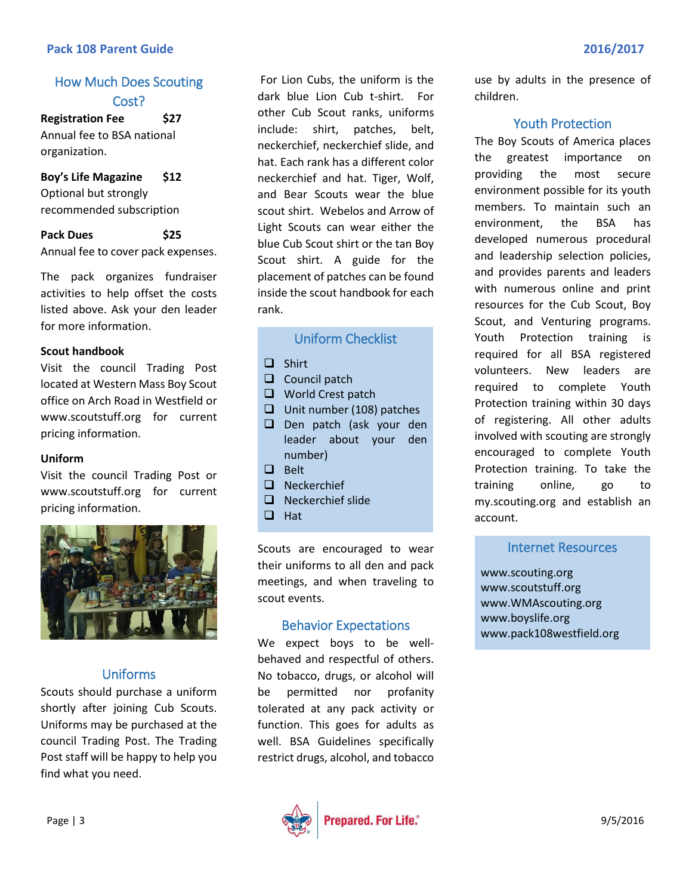#### **Pack 108 Parent Guide 2016/2017**

# How Much Does Scouting Cost?

**Registration Fee \$27** Annual fee to BSA national organization.

#### **Boy's Life Magazine \$12** Optional but strongly recommended subscription

**Pack Dues \$25** Annual fee to cover pack expenses.

The pack organizes fundraiser activities to help offset the costs listed above. Ask your den leader for more information.

#### **Scout handbook**

Visit the council Trading Post located at Western Mass Boy Scout office on Arch Road in Westfield or www.scoutstuff.org for current pricing information.

#### **Uniform**

Visit the council Trading Post or www.scoutstuff.org for current pricing information.



#### Uniforms

Scouts should purchase a uniform shortly after joining Cub Scouts. Uniforms may be purchased at the council Trading Post. The Trading Post staff will be happy to help you find what you need.

For Lion Cubs, the uniform is the dark blue Lion Cub t-shirt. For other Cub Scout ranks, uniforms include: shirt, patches, belt, neckerchief, neckerchief slide, and hat. Each rank has a different color neckerchief and hat. Tiger, Wolf, and Bear Scouts wear the blue scout shirt. Webelos and Arrow of Light Scouts can wear either the blue Cub Scout shirt or the tan Boy Scout shirt. A guide for the placement of patches can be found inside the scout handbook for each rank.

#### Uniform Checklist

- $\Box$  Shirt
- $\Box$  Council patch
- World Crest patch
- $\Box$  Unit number (108) patches
- D Den patch (ask your den leader about your den number)
- D Belt
- **Q** Neckerchief
- $\Box$  Neckerchief slide
- $\Box$  Hat

Scouts are encouraged to wear their uniforms to all den and pack meetings, and when traveling to scout events.

#### Behavior Expectations

We expect boys to be wellbehaved and respectful of others. No tobacco, drugs, or alcohol will be permitted nor profanity tolerated at any pack activity or function. This goes for adults as well. BSA Guidelines specifically restrict drugs, alcohol, and tobacco



use by adults in the presence of children.

#### Youth Protection

The Boy Scouts of America places the greatest importance on providing the most secure environment possible for its youth members. To maintain such an environment, the BSA has developed numerous procedural and leadership selection policies, and provides parents and leaders with numerous online and print resources for the Cub Scout, Boy Scout, and Venturing programs. Youth Protection training is required for all BSA registered volunteers. New leaders are required to complete Youth Protection training within 30 days of registering. All other adults involved with scouting are strongly encouraged to complete Youth Protection training. To take the training online, go to my.scouting.org and establish an account.

#### Internet Resources

www.scouting.org www.scoutstuff.org www.WMAscouting.org [www.boyslife.org](http://www.boyslife.org/) www.pack108westfield.org